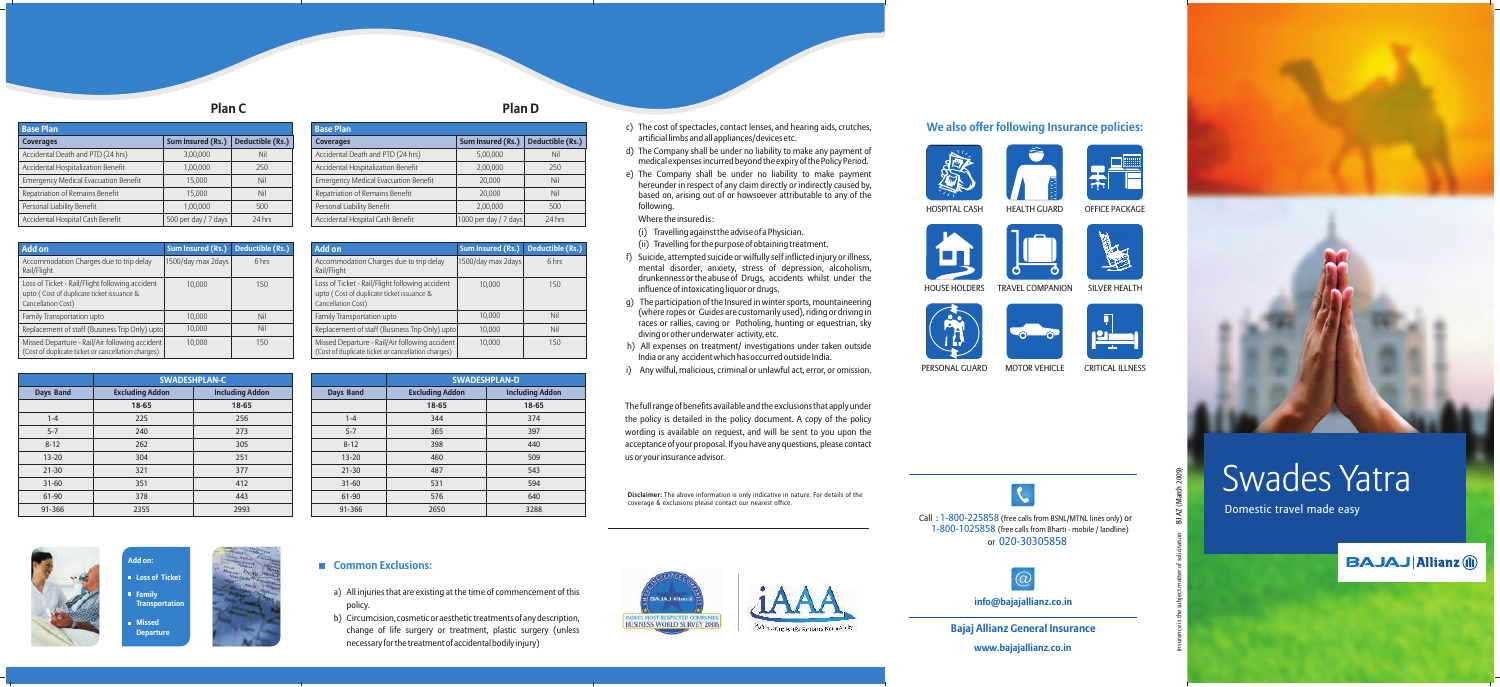- a) All injuries that are existing at the time of commencement of this policy.
- b) Circumcision, cosmetic or aesthetic treatments of any description, change of life surgery or treatment, plastic surgery (unless necessary for the treatment of accidental bodily injury)







# Swades Yatra

Domestic travel made easy



c) The cost of spectacles, contact lenses, and hearing aids, crutches,

artificial limbs and all appliances/devices etc.

d) The Company shall be under no liability to make any payment of medical expenses incurred beyond the expiry of the Policy Period. e) The Company shall be under no liability to make payment hereunder in respect of any claim directly or indirectly caused by, based on, arising out of or howsoever attributable to any of the

following.

Where the insured is :

(i) Travelling against the advise of a Physician. (ii) Travelling for the purpose of obtaining treatment. f) Suicide, attempted suicide or wilfully self inflicted injury or illness, mental disorder, anxiety, stress of depression, alcoholism, drunkenness or the abuse of Drugs, accidents whilst under the

influence of intoxicating liquor or drugs.



h) All expenses on treatment/ investigations under taken outside India or any accident which has occurred outside India.

i) Any wilful, malicious, criminal or unlawful act, error, or omission.

The full range of benefits available and the exclusions that apply under the policy is detailed in the policy document. A copy of the policy wording is available on request, and will be sent to you upon the acceptance of your proposal. If you have any questions, please contact us or your insurance advisor.

MOTOR VEHICLE

OFFICE PACKAGE





CRITICAL ILLNESS



#### HOSPITAL CASH HEALTH GUARD



#### HOUSE HOLDERS TRAVEL COMPANION SILVER HEALTH

## **We also offer following Insurance policies:**





Call: 1-800-225858 (free calls from BSNL/MTNL lines only) or 1-800-1025858 (free calls from Bharti - mobile / landline) or 020-30305858

PERSONAL GUARD



**Disclaimer:** The above information is only indicative in nature. For details of the coverage & exclusions please contact our nearest office.

# **Plan C**

| Add on                                                                                                             | <b>Sum Insured (Rs.)</b> | Deductible (Rs.) |
|--------------------------------------------------------------------------------------------------------------------|--------------------------|------------------|
| Accommodation Charges due to trip delay<br>Rail/Flight                                                             | 1500/day max 2days       | 6 hrs            |
| Loss of Ticket - Rail/Flight following accident<br>upto (Cost of duplicate ticket issuance &<br>Cancellation Cost) | 10.000                   | 150              |
| Family Transportation upto                                                                                         | 10,000                   | Nil              |
| Replacement of staff (Business Trip Only) upto                                                                     | 10.000                   | Nil              |
| Missed Departure - Rail/Air following accident<br>(Cost of duplicate ticket or cancellation charges)               | 10.000                   | 150              |

| <b>Base Plan</b>                            |                      |                  |
|---------------------------------------------|----------------------|------------------|
| <b>Coverages</b>                            | Sum Insured (Rs.)    | Deductible (Rs.) |
| Accidental Death and PTD (24 hrs)           | 3,00,000             | Nil              |
| Accidental Hospitalization Benefit          | 1,00,000             | 250              |
| <b>Emergency Medical Evacuation Benefit</b> | 15,000               | Nil              |
| Repatriation of Remains Benefit             | 15,000               | Nil              |
| Personal Liability Benefit                  | 1,00,000             | 500              |
| Accidental Hospital Cash Benefit            | 500 per day / 7 days | 24 hrs           |

# **Plan D**

| <b>Add on</b>                                                                                                      | <b>Sum Insured (Rs.)</b> | Deductible (Rs.) |
|--------------------------------------------------------------------------------------------------------------------|--------------------------|------------------|
| Accommodation Charges due to trip delay<br>Rail/Flight                                                             | 1500/day max 2days       | 6 hrs            |
| Loss of Ticket - Rail/Flight following accident<br>upto (Cost of duplicate ticket issuance &<br>Cancellation Cost) | 10.000                   | 150              |
| Family Transportation upto                                                                                         | 10.000                   | Nil              |
| Replacement of staff (Business Trip Only) upto                                                                     | 10.000                   | Nil              |
| Missed Departure - Rail/Air following accident<br>(Cost of duplicate ticket or cancellation charges)               | 10.000                   | 150              |

| <b>Base Plan</b>                            |                       |                  |
|---------------------------------------------|-----------------------|------------------|
| <b>Coverages</b>                            | Sum Insured (Rs.)     | Deductible (Rs.) |
| Accidental Death and PTD (24 hrs)           | 5,00,000              | Nil              |
| Accidental Hospitalization Benefit          | 2,00,000              | 250              |
| <b>Emergency Medical Evacuation Benefit</b> | 20,000                | Nil              |
| Repatriation of Remains Benefit             | 20,000                | Nil              |
| Personal Liability Benefit                  | 2,00,000              | 500              |
| Accidental Hospital Cash Benefit            | 1000 per day / 7 days | 24 hrs           |
|                                             |                       |                  |



**info@bajajallianz.co.in**

**www.bajajallianz.co.in Bajaj Allianz General Insurance**



Insurance is the subject matter of solicitation BJ AZ (March 2009)

|           | <b>SWADESHPLAN-D</b>   |                        |
|-----------|------------------------|------------------------|
| Days Band | <b>Excluding Addon</b> | <b>Including Addon</b> |
|           | 18-65                  | 18-65                  |
| $1 - 4$   | 344                    | 374                    |
| $5 - 7$   | 365                    | 397                    |
| $8 - 12$  | 398                    | 440                    |
| $13 - 20$ | 460                    | 509                    |
| $21 - 30$ | 487                    | 543                    |
| $31 - 60$ | 531                    | 594                    |
| 61-90     | 576                    | 640                    |
| 91-366    | 2650                   | 3288                   |

# ■ Common Exclusions:

|                  | <b>SWADESHPLAN-C</b>   |                        |
|------------------|------------------------|------------------------|
| <b>Days Band</b> | <b>Excluding Addon</b> | <b>Including Addon</b> |
|                  | 18-65                  | 18-65                  |
| $1 - 4$          | 225                    | 256                    |
| $5 - 7$          | 240                    | 273                    |
| $8 - 12$         | 262                    | 305                    |
| $13 - 20$        | 304                    | 251                    |
| $21 - 30$        | 321                    | 377                    |
| $31 - 60$        | 351                    | 412                    |
| 61-90            | 378                    | 443                    |
| 91-366           | 2355                   | 2993                   |